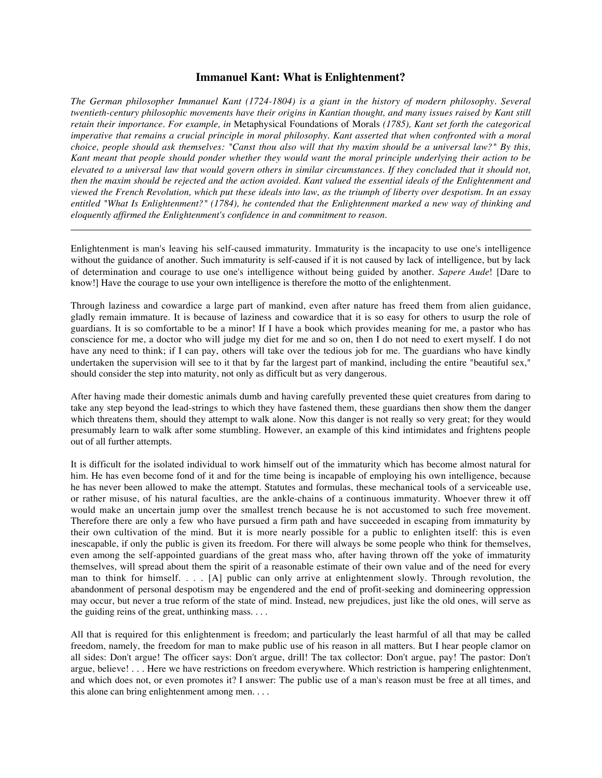## **Immanuel Kant: What is Enlightenment?**

*The German philosopher Immanuel Kant (1724-1804) is a giant in the history of modern philosophy. Several twentieth-century philosophic movements have their origins in Kantian thought, and many issues raised by Kant still retain their importance. For example, in* Metaphysical Foundations of Morals *(1785), Kant set forth the categorical imperative that remains a crucial principle in moral philosophy. Kant asserted that when confronted with a moral choice, people should ask themselves: "Canst thou also will that thy maxim should be a universal law?" By this, Kant meant that people should ponder whether they would want the moral principle underlying their action to be elevated to a universal law that would govern others in similar circumstances. If they concluded that it should not, then the maxim should be rejected and the action avoided. Kant valued the essential ideals of the Enlightenment and viewed the French Revolution, which put these ideals into law, as the triumph of liberty over despotism. In an essay entitled "What Is Enlightenment?" (1784), he contended that the Enlightenment marked a new way of thinking and eloquently affirmed the Enlightenment's confidence in and commitment to reason.*

Enlightenment is man's leaving his self-caused immaturity. Immaturity is the incapacity to use one's intelligence without the guidance of another. Such immaturity is self-caused if it is not caused by lack of intelligence, but by lack of determination and courage to use one's intelligence without being guided by another. *Sapere Aude*! [Dare to know!] Have the courage to use your own intelligence is therefore the motto of the enlightenment.

Through laziness and cowardice a large part of mankind, even after nature has freed them from alien guidance, gladly remain immature. It is because of laziness and cowardice that it is so easy for others to usurp the role of guardians. It is so comfortable to be a minor! If I have a book which provides meaning for me, a pastor who has conscience for me, a doctor who will judge my diet for me and so on, then I do not need to exert myself. I do not have any need to think; if I can pay, others will take over the tedious job for me. The guardians who have kindly undertaken the supervision will see to it that by far the largest part of mankind, including the entire "beautiful sex," should consider the step into maturity, not only as difficult but as very dangerous.

After having made their domestic animals dumb and having carefully prevented these quiet creatures from daring to take any step beyond the lead-strings to which they have fastened them, these guardians then show them the danger which threatens them, should they attempt to walk alone. Now this danger is not really so very great; for they would presumably learn to walk after some stumbling. However, an example of this kind intimidates and frightens people out of all further attempts.

It is difficult for the isolated individual to work himself out of the immaturity which has become almost natural for him. He has even become fond of it and for the time being is incapable of employing his own intelligence, because he has never been allowed to make the attempt. Statutes and formulas, these mechanical tools of a serviceable use, or rather misuse, of his natural faculties, are the ankle-chains of a continuous immaturity. Whoever threw it off would make an uncertain jump over the smallest trench because he is not accustomed to such free movement. Therefore there are only a few who have pursued a firm path and have succeeded in escaping from immaturity by their own cultivation of the mind. But it is more nearly possible for a public to enlighten itself: this is even inescapable, if only the public is given its freedom. For there will always be some people who think for themselves, even among the self-appointed guardians of the great mass who, after having thrown off the yoke of immaturity themselves, will spread about them the spirit of a reasonable estimate of their own value and of the need for every man to think for himself. . . . [A] public can only arrive at enlightenment slowly. Through revolution, the abandonment of personal despotism may be engendered and the end of profit-seeking and domineering oppression may occur, but never a true reform of the state of mind. Instead, new prejudices, just like the old ones, will serve as the guiding reins of the great, unthinking mass.  $\dots$ 

All that is required for this enlightenment is freedom; and particularly the least harmful of all that may be called freedom, namely, the freedom for man to make public use of his reason in all matters. But I hear people clamor on all sides: Don't argue! The officer says: Don't argue, drill! The tax collector: Don't argue, pay! The pastor: Don't argue, believe! . . . Here we have restrictions on freedom everywhere. Which restriction is hampering enlightenment, and which does not, or even promotes it? I answer: The public use of a man's reason must be free at all times, and this alone can bring enlightenment among men. . . .